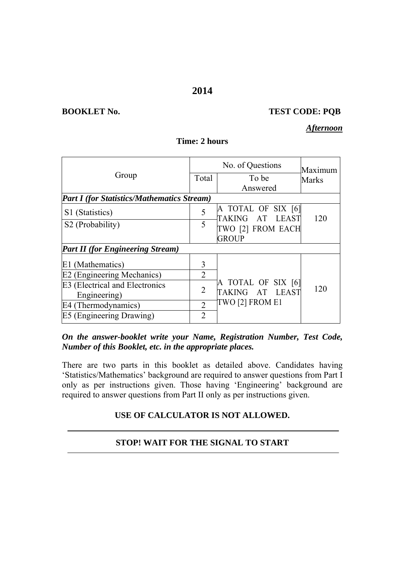#### **2014**

#### **BOOKLET No. TEST CODE: PQB**

#### *Afternoon*

|                                                   |                             | Maximum                                         |       |  |
|---------------------------------------------------|-----------------------------|-------------------------------------------------|-------|--|
| Group                                             | Total                       | To be                                           | Marks |  |
|                                                   |                             | Answered                                        |       |  |
| <b>Part I</b> (for Statistics/Mathematics Stream) |                             |                                                 |       |  |
| S1 (Statistics)                                   | 5                           | A TOTAL OF SIX [6]<br><b>TAKING</b><br>AT LEAST | 120   |  |
| S2 (Probability)                                  | 5                           | TWO [2] FROM EACH                               |       |  |
|                                                   |                             | <b>GROUP</b>                                    |       |  |
| <b>Part II</b> (for Engineering Stream)           |                             |                                                 |       |  |
| E1 (Mathematics)                                  | 3                           |                                                 |       |  |
| E2 (Engineering Mechanics)                        | 2                           |                                                 |       |  |
| E3 (Electrical and Electronics                    | 2                           | A TOTAL OF SIX [6]                              | 120   |  |
| Engineering)                                      |                             | TAKING AT LEAST                                 |       |  |
| E4 (Thermodynamics)                               | $\mathcal{D}_{\mathcal{L}}$ | TWO [2] FROM E1                                 |       |  |
| E5 (Engineering Drawing)                          | $\overline{2}$              |                                                 |       |  |

## **Time: 2 hours**

*On the answer-booklet write your Name, Registration Number, Test Code, Number of this Booklet, etc. in the appropriate places.* 

There are two parts in this booklet as detailed above. Candidates having 'Statistics/Mathematics' background are required to answer questions from Part I only as per instructions given. Those having 'Engineering' background are required to answer questions from Part II only as per instructions given.

#### **USE OF CALCULATOR IS NOT ALLOWED.**

#### **STOP! WAIT FOR THE SIGNAL TO START**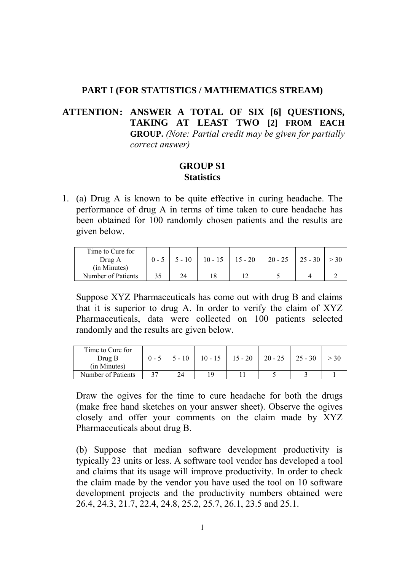#### **PART I (FOR STATISTICS / MATHEMATICS STREAM)**

# **ATTENTION: ANSWER A TOTAL OF SIX [6] QUESTIONS, TAKING AT LEAST TWO [2] FROM EACH GROUP.** *(Note: Partial credit may be given for partially correct answer)*

### **GROUP S1 Statistics**

1. (a) Drug A is known to be quite effective in curing headache. The performance of drug A in terms of time taken to cure headache has been obtained for 100 randomly chosen patients and the results are given below.

| Time to Cure for<br>Drug A<br>(in Minutes) | $0 - 5$ |    |    | $5 - 10$   10 - 15   15 - 20   20 - 25   25 - 30 |  |
|--------------------------------------------|---------|----|----|--------------------------------------------------|--|
| Number of Patients                         |         | 24 | 18 |                                                  |  |

Suppose XYZ Pharmaceuticals has come out with drug B and claims that it is superior to drug A. In order to verify the claim of XYZ Pharmaceuticals, data were collected on 100 patients selected randomly and the results are given below.

| Time to Cure for<br>Drug B<br>(in Minutes) | $0 - 5$ | $1\;\;5 - 10$ | $10 - 15$ 15 - 20 20 - 25 25 - 30 |  |  |
|--------------------------------------------|---------|---------------|-----------------------------------|--|--|
| Number of Patients                         |         | 24            |                                   |  |  |

Draw the ogives for the time to cure headache for both the drugs (make free hand sketches on your answer sheet). Observe the ogives closely and offer your comments on the claim made by XYZ Pharmaceuticals about drug B.

(b) Suppose that median software development productivity is typically 23 units or less. A software tool vendor has developed a tool and claims that its usage will improve productivity. In order to check the claim made by the vendor you have used the tool on 10 software development projects and the productivity numbers obtained were 26.4, 24.3, 21.7, 22.4, 24.8, 25.2, 25.7, 26.1, 23.5 and 25.1.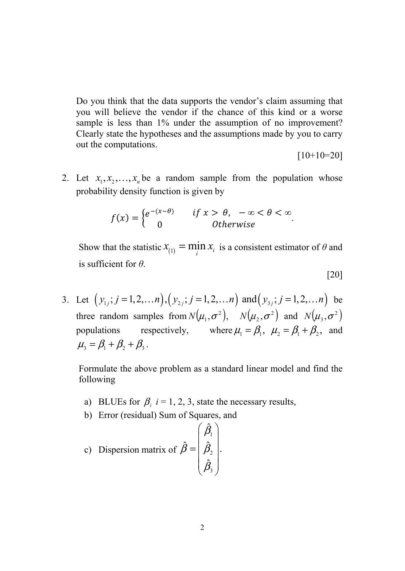Do you think that the data supports the vendor's claim assuming that you will believe the vendor if the chance of this kind or a worse sample is less than 1% under the assumption of no improvement? Clearly state the hypotheses and the assumptions made by you to carry out the computations.

 $[10+10=20]$ 

2. Let  $x_1, x_2, \ldots, x_n$  be a random sample from the population whose probability density function is given by

$$
f(x) = \begin{cases} e^{-(x-\theta)} & \text{if } x > \theta, \ -\infty < \theta < \infty \\ 0 & \text{Otherwise} \end{cases}
$$

Show that the statistic  $x_{(1)} = \min_i x_i$  is a consistent estimator of  $\theta$  and is sufficient for *θ*.

$$
[20]
$$

3. Let  $(y_{1j}; j = 1,2,...n), (y_{2j}; j = 1,2,...n)$  and  $(y_{3j}; j = 1,2,...n)$  be three random samples from  $N(\mu_1, \sigma^2)$ ,  $N(\mu_2, \sigma^2)$  and  $N(\mu_3, \sigma^2)$ populations respectively, where  $\mu_1 = \beta_1$ ,  $\mu_2 = \beta_1 + \beta_2$ , and  $\mu_{3} = \beta_{1} + \beta_{2} + \beta_{3}$ .

Formulate the above problem as a standard linear model and find the following

- a) BLUEs for  $\beta_i$  *i* = 1, 2, 3, state the necessary results,
- b) Error (residual) Sum of Squares, and

c) Disperson matrix of 
$$
\hat{\beta} = \begin{pmatrix} \hat{\beta}_1 \\ \hat{\beta}_2 \\ \hat{\beta}_3 \end{pmatrix}
$$
.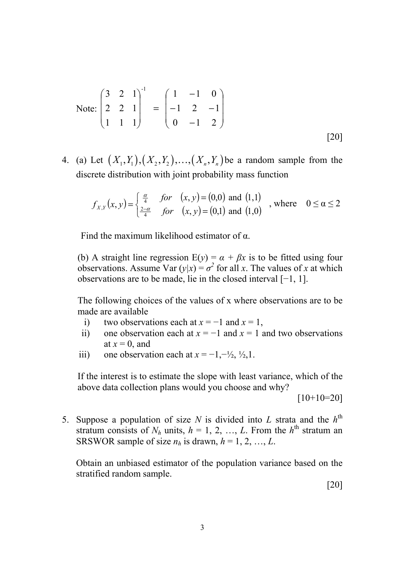Note: 
$$
\begin{pmatrix} 3 & 2 & 1 \ 2 & 2 & 1 \ 1 & 1 & 1 \end{pmatrix}^{-1} = \begin{pmatrix} 1 & -1 & 0 \ -1 & 2 & -1 \ 0 & -1 & 2 \end{pmatrix}
$$
 [20]

4. (a) Let  $(X_1, Y_1), (X_2, Y_2), ..., (X_n, Y_n)$  be a random sample from the discrete distribution with joint probability mass function

$$
f_{X,Y}(x,y) = \begin{cases} \frac{\alpha}{4} & \text{for} \quad (x,y) = (0,0) \text{ and } (1,1) \\ \frac{2-\alpha}{4} & \text{for} \quad (x,y) = (0,1) \text{ and } (1,0) \end{cases}
$$
, where  $0 \le \alpha \le 2$ 

Find the maximum likelihood estimator of α.

(b) A straight line regression  $E(y) = \alpha + \beta x$  is to be fitted using four observations. Assume Var  $(y|x) = \sigma^2$  for all *x*. The values of *x* at which observations are to be made, lie in the closed interval [−1, 1].

The following choices of the values of x where observations are to be made are available

- i) two observations each at  $x = -1$  and  $x = 1$ ,
- ii) one observation each at  $x = -1$  and  $x = 1$  and two observations at  $x = 0$ , and
- iii) one observation each at  $x = -1, -\frac{1}{2}, \frac{1}{2}, 1$ .

If the interest is to estimate the slope with least variance, which of the above data collection plans would you choose and why?

 $[10+10=20]$ 

5. Suppose a population of size  $N$  is divided into  $L$  strata and the  $h<sup>th</sup>$ stratum consists of  $N_h$  units,  $h = 1, 2, ..., L$ . From the  $h<sup>th</sup>$  stratum an SRSWOR sample of size  $n_h$  is drawn,  $h = 1, 2, ..., L$ .

Obtain an unbiased estimator of the population variance based on the stratified random sample.

[20]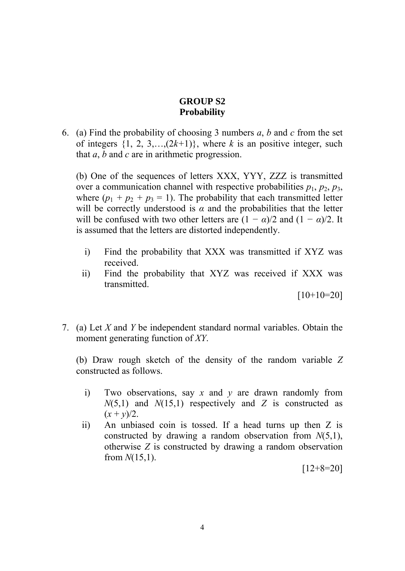# **GROUP S2 Probability**

6. (a) Find the probability of choosing 3 numbers *a*, *b* and *c* from the set of integers  $\{1, 2, 3, \ldots, (2k+1)\}\)$ , where *k* is an positive integer, such that *a*, *b* and *c* are in arithmetic progression.

(b) One of the sequences of letters XXX, YYY, ZZZ is transmitted over a communication channel with respective probabilities  $p_1$ ,  $p_2$ ,  $p_3$ , where  $(p_1 + p_2 + p_3 = 1)$ . The probability that each transmitted letter will be correctly understood is  $\alpha$  and the probabilities that the letter will be confused with two other letters are  $(1 - \alpha)/2$  and  $(1 - \alpha)/2$ . It is assumed that the letters are distorted independently.

- i) Find the probability that XXX was transmitted if XYZ was received.
- ii) Find the probability that XYZ was received if XXX was transmitted.

 $[10+10=20]$ 

7. (a) Let *X* and *Y* be independent standard normal variables. Obtain the moment generating function of *XY*.

(b) Draw rough sketch of the density of the random variable *Z* constructed as follows.

- i) Two observations, say *x* and *y* are drawn randomly from *N*(5,1) and *N*(15,1) respectively and *Z* is constructed as  $(x + y)/2$ .
- ii) An unbiased coin is tossed. If a head turns up then Z is constructed by drawing a random observation from *N*(5,1), otherwise *Z* is constructed by drawing a random observation from *N*(15,1).

 $[12+8=20]$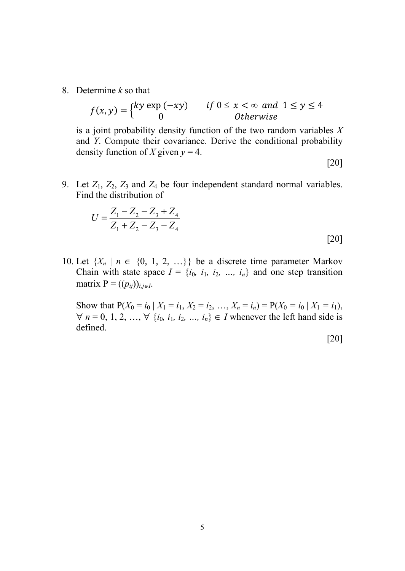8. Determine *k* so that

$$
f(x, y) = \begin{cases} ky \exp(-xy) & \text{if } 0 \le x < \infty \text{ and } 1 \le y \le 4 \\ 0 & \text{Otherwise} \end{cases}
$$

is a joint probability density function of the two random variables *X* and *Y*. Compute their covariance. Derive the conditional probability density function of *X* given  $y = 4$ .

[20]

9. Let  $Z_1$ ,  $Z_2$ ,  $Z_3$  and  $Z_4$  be four independent standard normal variables. Find the distribution of

$$
U = \frac{Z_1 - Z_2 - Z_3 + Z_4}{Z_1 + Z_2 - Z_3 - Z_4}
$$
\n[20]

10. Let  $\{X_n \mid n \in \{0, 1, 2, ...\} \}$  be a discrete time parameter Markov Chain with state space  $I = \{i_0, i_1, i_2, ..., i_n\}$  and one step transition matrix  $P = ((p_{ij}))_{i,j \in I}$ .

Show that  $P(X_0 = i_0 | X_1 = i_1, X_2 = i_2, ..., X_n = i_n) = P(X_0 = i_0 | X_1 = i_1)$ ,  $∀ n = 0, 1, 2, ..., ∀ {i<sub>0</sub>, i<sub>1</sub>, i<sub>2</sub>, ..., i<sub>n</sub>} ∈ I whenever the left hand side is$ defined.

[20]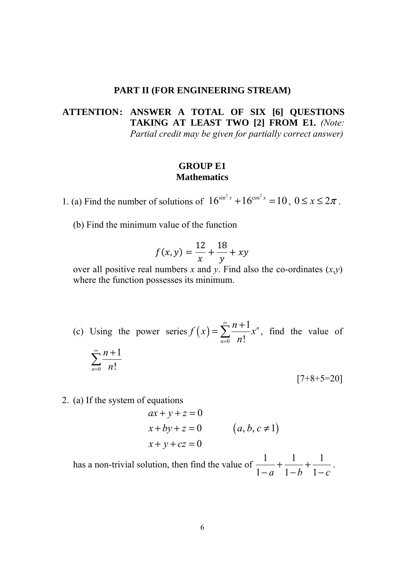#### **PART II (FOR ENGINEERING STREAM)**

# **ATTENTION: ANSWER A TOTAL OF SIX [6] QUESTIONS TAKING AT LEAST TWO [2] FROM E1.** *(Note: Partial credit may be given for partially correct answer)*

#### **GROUP E1 Mathematics**

1. (a) Find the number of solutions of  $16^{\sin^2 x} + 16^{\cos^2 x} = 10$ ,  $0 \le x \le 2\pi$ .

(b) Find the minimum value of the function

$$
f(x, y) = \frac{12}{x} + \frac{18}{y} + xy
$$

over all positive real numbers *x* and *y*. Find also the co-ordinates  $(x,y)$ where the function possesses its minimum.

- (c) Using the power series  $f(x)$  $\mathbf{0}$ 1 ! *n n*  $f(x) = \sum_{n=1}^{\infty} \frac{n}{n}$ *n* ∞  $=\sum_{n=0}^{\infty} \frac{n+1}{n!} x^n$ , find the value of 0 1  $\sum_{n=0}$  n! *n n* ∞  $\sum_{n=0}^{\infty} \frac{n+1}{n!}$  $[7+8+5=20]$
- 2. (a) If the system of equations

$$
ax + y + z = 0
$$
  
x + by + z = 0 (a, b, c \ne 1)  
x + y + cz = 0

has a non-trivial solution, then find the value of  $\frac{1}{1}$ + $\frac{1}{1}$ + $\frac{1}{1}$  $\frac{1}{1-a} + \frac{1}{1-b} + \frac{1}{1-c}$ .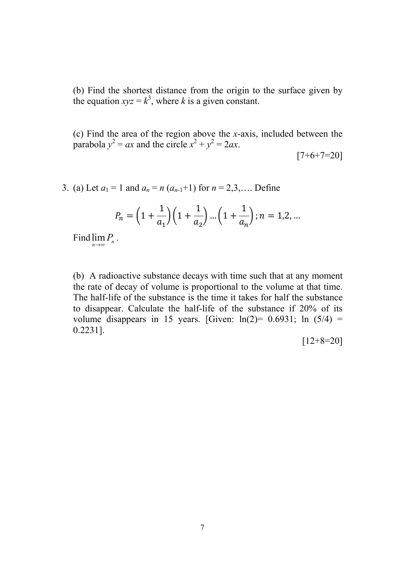(b) Find the shortest distance from the origin to the surface given by the equation  $xyz = k^3$ , where *k* is a given constant.

(c) Find the area of the region above the *x*-axis, included between the parabola  $y^2 = ax$  and the circle  $x^2 + y^2 = 2ax$ .

 $[7+6+7=20]$ 

3. (a) Let  $a_1 = 1$  and  $a_n = n (a_{n-1} + 1)$  for  $n = 2,3,...$  Define

$$
P_n = \left(1 + \frac{1}{a_1}\right)\left(1 + \frac{1}{a_2}\right)\dots\left(1 + \frac{1}{a_n}\right); n = 1, 2, \dots
$$

Find  $\lim_{n\to\infty} P_n$ .

(b) A radioactive substance decays with time such that at any moment the rate of decay of volume is proportional to the volume at that time. The half-life of the substance is the time it takes for half the substance to disappear. Calculate the half-life of the substance if 20% of its volume disappears in 15 years. [Given:  $ln(2) = 0.6931$ ;  $ln(5/4) =$ 0.2231].

 $[12+8=20]$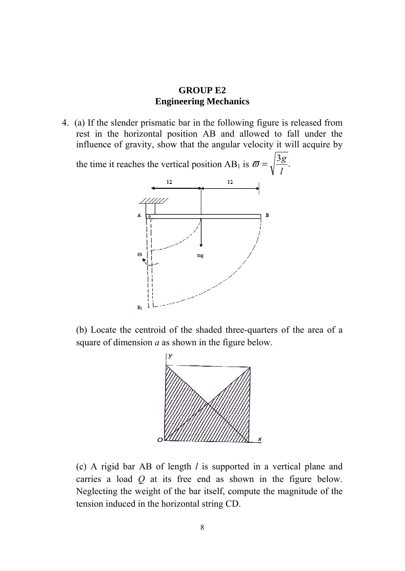#### **GROUP E2 Engineering Mechanics**

4. (a) If the slender prismatic bar in the following figure is released from rest in the horizontal position AB and allowed to fall under the influence of gravity, show that the angular velocity it will acquire by

the time it reaches the vertical position AB<sub>1</sub> is  $\bar{\omega} = \sqrt{\frac{3g}{l}}$ .  $\varpi = \sqrt{\frac{3g}{l}}$ *l*  $1/2$  $1/2$ *'11111*  $\omega$ mg  $B<sub>1</sub>$ 

(b) Locate the centroid of the shaded three-quarters of the area of a square of dimension *a* as shown in the figure below.



(c) A rigid bar AB of length *l* is supported in a vertical plane and carries a load *Q* at its free end as shown in the figure below. Neglecting the weight of the bar itself, compute the magnitude of the tension induced in the horizontal string CD.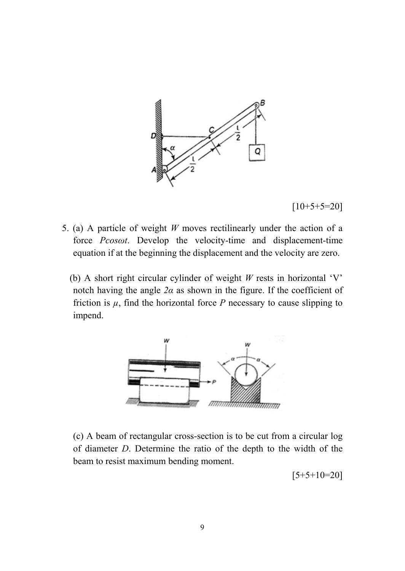

 $[10+5+5=20]$ 

- 5. (a) A particle of weight *W* moves rectilinearly under the action of a force *Pcosωt*. Develop the velocity-time and displacement-time equation if at the beginning the displacement and the velocity are zero.
	- (b) A short right circular cylinder of weight *W* rests in horizontal 'V' notch having the angle  $2\alpha$  as shown in the figure. If the coefficient of friction is  $\mu$ , find the horizontal force *P* necessary to cause slipping to impend.



(c) A beam of rectangular cross-section is to be cut from a circular log of diameter *D*. Determine the ratio of the depth to the width of the beam to resist maximum bending moment.

 $[5+5+10=20]$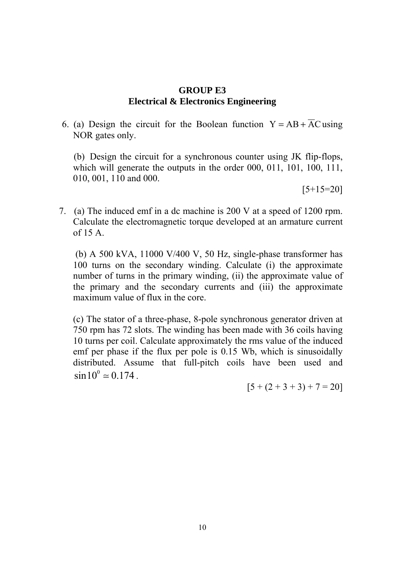#### **GROUP E3 Electrical & Electronics Engineering**

6. (a) Design the circuit for the Boolean function  $Y = AB + \overline{AC}$  using NOR gates only.

 (b) Design the circuit for a synchronous counter using JK flip-flops, which will generate the outputs in the order 000, 011, 101, 100, 111, 010, 001, 110 and 000.

 $[5+15=20]$ 

7. (a) The induced emf in a dc machine is 200 V at a speed of 1200 rpm. Calculate the electromagnetic torque developed at an armature current of 15 A.

 (b) A 500 kVA, 11000 V/400 V, 50 Hz, single-phase transformer has 100 turns on the secondary winding. Calculate (i) the approximate number of turns in the primary winding, (ii) the approximate value of the primary and the secondary currents and (iii) the approximate maximum value of flux in the core.

(c) The stator of a three-phase, 8-pole synchronous generator driven at 750 rpm has 72 slots. The winding has been made with 36 coils having 10 turns per coil. Calculate approximately the rms value of the induced emf per phase if the flux per pole is 0.15 Wb, which is sinusoidally distributed. Assume that full-pitch coils have been used and  $\sin 10^{\circ} \approx 0.174$ .

 $[5 + (2 + 3 + 3) + 7 = 20]$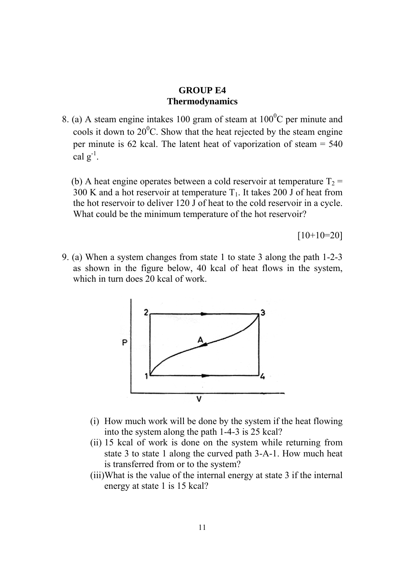#### **GROUP E4 Thermodynamics**

8. (a) A steam engine intakes 100 gram of steam at  $100^{\circ}$ C per minute and cools it down to  $20^{\circ}$ C. Show that the heat rejected by the steam engine per minute is 62 kcal. The latent heat of vaporization of steam = 540 cal  $g^{-1}$ .

(b) A heat engine operates between a cold reservoir at temperature  $T_2$  = 300 K and a hot reservoir at temperature  $T_1$ . It takes 200 J of heat from the hot reservoir to deliver 120 J of heat to the cold reservoir in a cycle. What could be the minimum temperature of the hot reservoir?

 $[10+10=20]$ 

9. (a) When a system changes from state 1 to state 3 along the path 1-2-3 as shown in the figure below, 40 kcal of heat flows in the system, which in turn does 20 kcal of work.



- (i) How much work will be done by the system if the heat flowing into the system along the path 1-4-3 is 25 kcal?
- (ii) 15 kcal of work is done on the system while returning from state 3 to state 1 along the curved path 3-A-1. How much heat is transferred from or to the system?
- (iii)What is the value of the internal energy at state 3 if the internal energy at state 1 is 15 kcal?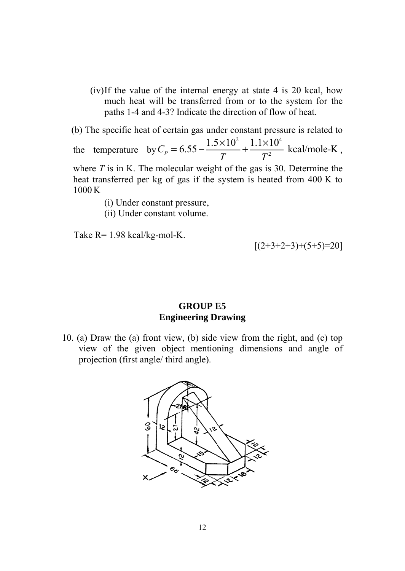(iv)If the value of the internal energy at state 4 is 20 kcal, how much heat will be transferred from or to the system for the paths 1-4 and 4-3? Indicate the direction of flow of heat.

(b) The specific heat of certain gas under constant pressure is related to

the temperature by 2 1  $1 \times 10^4$  $C_p = 6.55 - \frac{1.5 \times 10^2}{T} + \frac{1.1 \times 10^4}{T^2}$  kcal/mole-K *T T*  $\times 10^2$  1.1 $\times$  $=6.55 - \frac{1.5 \times 10^{14}}{T} + \frac{1.1 \times 10^{14}}{T^2}$  kcal/mole-K,

where *T* is in K. The molecular weight of the gas is 30. Determine the heat transferred per kg of gas if the system is heated from 400 K to 1000 K

(i) Under constant pressure,

(ii) Under constant volume.

Take R= 1.98 kcal/kg-mol-K.

 $[(2+3+2+3)+(5+5)=20]$ 

## **GROUP E5 Engineering Drawing**

10. (a) Draw the (a) front view, (b) side view from the right, and (c) top view of the given object mentioning dimensions and angle of projection (first angle/ third angle).